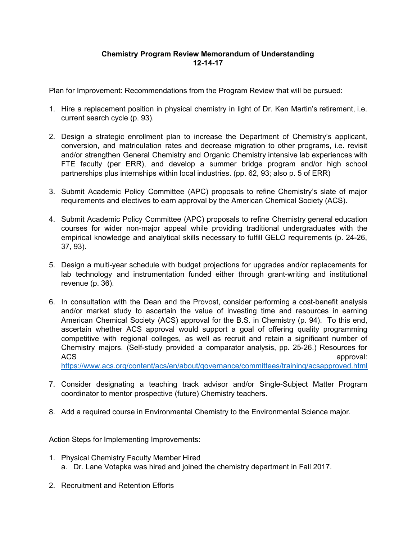# **Chemistry Program Review Memorandum of Understanding 12-14-17**

### Plan for Improvement: Recommendations from the Program Review that will be pursued:

- 1. Hire a replacement position in physical chemistry in light of Dr. Ken Martin's retirement, i.e. current search cycle (p. 93).
- 2. Design a strategic enrollment plan to increase the Department of Chemistry's applicant, conversion, and matriculation rates and decrease migration to other programs, i.e. revisit and/or strengthen General Chemistry and Organic Chemistry intensive lab experiences with FTE faculty (per ERR), and develop a summer bridge program and/or high school partnerships plus internships within local industries. (pp. 62, 93; also p. 5 of ERR)
- 3. Submit Academic Policy Committee (APC) proposals to refine Chemistry's slate of major requirements and electives to earn approval by the American Chemical Society (ACS).
- 4. Submit Academic Policy Committee (APC) proposals to refine Chemistry general education courses for wider non-major appeal while providing traditional undergraduates with the empirical knowledge and analytical skills necessary to fulfill GELO requirements (p. 24-26, 37, 93).
- 5. Design a multi-year schedule with budget projections for upgrades and/or replacements for lab technology and instrumentation funded either through grant-writing and institutional revenue (p. 36).
- 6. In consultation with the Dean and the Provost, consider performing a cost-benefit analysis and/or market study to ascertain the value of investing time and resources in earning American Chemical Society (ACS) approval for the B.S. in Chemistry (p. 94). To this end, ascertain whether ACS approval would support a goal of offering quality programming competitive with regional colleges, as well as recruit and retain a significant number of Chemistry majors. (Self-study provided a comparator analysis, pp. 25-26.) Resources for ACS approval: https://www.acs.org/content/acs/en/about/governance/committees/training/acsapproved.html
- 7. Consider designating a teaching track advisor and/or Single-Subject Matter Program coordinator to mentor prospective (future) Chemistry teachers.
- 8. Add a required course in Environmental Chemistry to the Environmental Science major.

# Action Steps for Implementing Improvements:

- 1. Physical Chemistry Faculty Member Hired a. Dr. Lane Votapka was hired and joined the chemistry department in Fall 2017.
- 2. Recruitment and Retention Efforts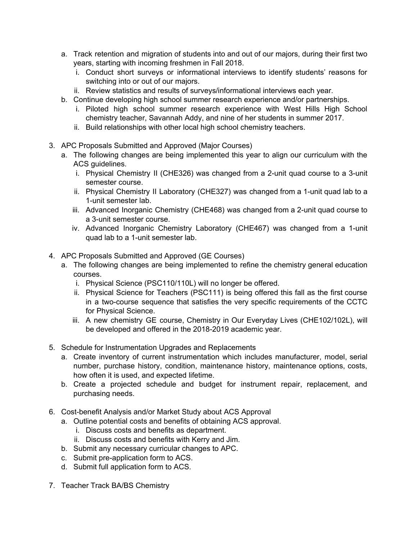- a. Track retention and migration of students into and out of our majors, during their first two years, starting with incoming freshmen in Fall 2018.
	- i. Conduct short surveys or informational interviews to identify students' reasons for switching into or out of our majors.
	- ii. Review statistics and results of surveys/informational interviews each year.
- b. Continue developing high school summer research experience and/or partnerships.
	- i. Piloted high school summer research experience with West Hills High School chemistry teacher, Savannah Addy, and nine of her students in summer 2017.
	- ii. Build relationships with other local high school chemistry teachers.
- 3. APC Proposals Submitted and Approved (Major Courses)
	- a. The following changes are being implemented this year to align our curriculum with the ACS guidelines.
		- i. Physical Chemistry II (CHE326) was changed from a 2-unit quad course to a 3-unit semester course.
		- ii. Physical Chemistry II Laboratory (CHE327) was changed from a 1-unit quad lab to a 1-unit semester lab.
		- iii. Advanced Inorganic Chemistry (CHE468) was changed from a 2-unit quad course to a 3-unit semester course.
		- iv. Advanced Inorganic Chemistry Laboratory (CHE467) was changed from a 1-unit quad lab to a 1-unit semester lab.
- 4. APC Proposals Submitted and Approved (GE Courses)
	- a. The following changes are being implemented to refine the chemistry general education courses.
		- i. Physical Science (PSC110/110L) will no longer be offered.
		- ii. Physical Science for Teachers (PSC111) is being offered this fall as the first course in a two-course sequence that satisfies the very specific requirements of the CCTC for Physical Science.
		- iii. A new chemistry GE course, Chemistry in Our Everyday Lives (CHE102/102L), will be developed and offered in the 2018-2019 academic year.
- 5. Schedule for Instrumentation Upgrades and Replacements
	- a. Create inventory of current instrumentation which includes manufacturer, model, serial number, purchase history, condition, maintenance history, maintenance options, costs, how often it is used, and expected lifetime.
	- b. Create a projected schedule and budget for instrument repair, replacement, and purchasing needs.
- 6. Cost-benefit Analysis and/or Market Study about ACS Approval
	- a. Outline potential costs and benefits of obtaining ACS approval.
		- i. Discuss costs and benefits as department.
		- ii. Discuss costs and benefits with Kerry and Jim.
	- b. Submit any necessary curricular changes to APC.
	- c. Submit pre-application form to ACS.
	- d. Submit full application form to ACS.
- 7. Teacher Track BA/BS Chemistry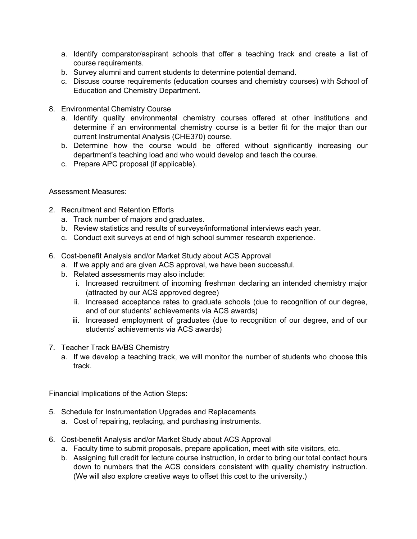- a. Identify comparator/aspirant schools that offer a teaching track and create a list of course requirements.
- b. Survey alumni and current students to determine potential demand.
- c. Discuss course requirements (education courses and chemistry courses) with School of Education and Chemistry Department.
- 8. Environmental Chemistry Course
	- a. Identify quality environmental chemistry courses offered at other institutions and determine if an environmental chemistry course is a better fit for the major than our current Instrumental Analysis (CHE370) course.
	- b. Determine how the course would be offered without significantly increasing our department's teaching load and who would develop and teach the course.
	- c. Prepare APC proposal (if applicable).

#### Assessment Measures:

- 2. Recruitment and Retention Efforts
	- a. Track number of majors and graduates.
	- b. Review statistics and results of surveys/informational interviews each year.
	- c. Conduct exit surveys at end of high school summer research experience.
- 6. Cost-benefit Analysis and/or Market Study about ACS Approval
	- a. If we apply and are given ACS approval, we have been successful.
	- b. Related assessments may also include:
		- i. Increased recruitment of incoming freshman declaring an intended chemistry major (attracted by our ACS approved degree)
		- ii. Increased acceptance rates to graduate schools (due to recognition of our degree, and of our students' achievements via ACS awards)
		- iii. Increased employment of graduates (due to recognition of our degree, and of our students' achievements via ACS awards)
- 7. Teacher Track BA/BS Chemistry
	- a. If we develop a teaching track, we will monitor the number of students who choose this track.

Financial Implications of the Action Steps:

- 5. Schedule for Instrumentation Upgrades and Replacements
	- a. Cost of repairing, replacing, and purchasing instruments.
- 6. Cost-benefit Analysis and/or Market Study about ACS Approval
	- a. Faculty time to submit proposals, prepare application, meet with site visitors, etc.
	- b. Assigning full credit for lecture course instruction, in order to bring our total contact hours down to numbers that the ACS considers consistent with quality chemistry instruction. (We will also explore creative ways to offset this cost to the university.)